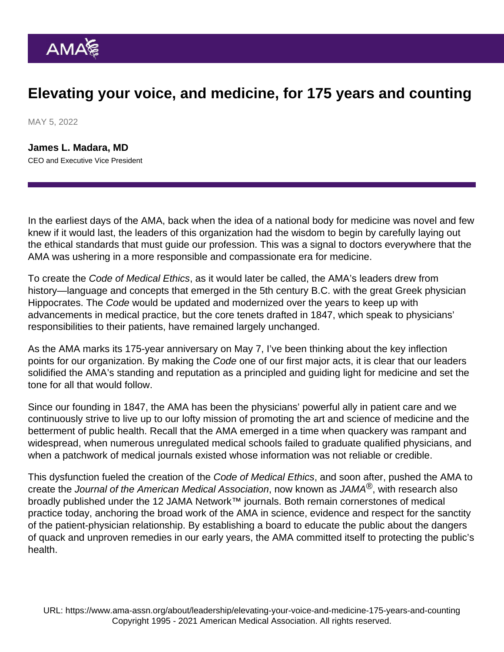## Elevating your voice, and medicine, for 175 years and counting

MAY 5, 2022

[James L. Madara, MD](https://www.ama-assn.org/news-leadership-viewpoints/authors-news-leadership-viewpoints/james-l-madara-md) CEO and Executive Vice President

In the earliest days of the AMA, back when the idea of a national body for medicine was novel and few knew if it would last, the leaders of this organization had the wisdom to begin by carefully laying out the ethical standards that must guide our profession. This was a signal to doctors everywhere that the AMA was ushering in a more responsible and compassionate era for medicine.

To create the [Code of Medical Ethics,](https://www.ama-assn.org/delivering-care/ethics/code-medical-ethics-overview) as it would later be called, the AMA's leaders drew from history—language and concepts that emerged in the 5th century B.C. with the great Greek physician Hippocrates. The Code would be updated and modernized over the years to keep up with advancements in medical practice, but the core tenets drafted in 1847, which speak to physicians' responsibilities to their patients, have remained largely unchanged.

As the [AMA marks its 175-year anniversary](https://www.ama-assn.org/about/ama-history/american-medical-associations-175th-anniversary) on May 7, I've been thinking about the key inflection points for our organization. By making the Code one of our first major acts, it is clear that our leaders solidified the AMA's standing and reputation as a principled and guiding light for medicine and set the tone for all that would follow.

Since our founding in 1847, the AMA has been the physicians' powerful ally in patient care and we continuously strive to live up to our lofty mission of promoting the art and science of medicine and the betterment of public health. Recall that the AMA emerged in a time when quackery was rampant and widespread, when numerous unregulated medical schools failed to graduate qualified physicians, and when a patchwork of medical journals existed whose information was not reliable or credible.

This dysfunction fueled the creation of the Code of Medical Ethics, and soon after, pushed the AMA to create the [Journal of the American Medical Association,](https://jamanetwork.com/journals/jama) now known as JAMA®, with research also broadly published under the 12 [JAMA Network](https://jamanetwork.com/)™ journals. Both remain cornerstones of medical practice today, anchoring the broad work of the AMA in science, evidence and respect for the sanctity of the patient-physician relationship. By establishing a board to educate the public about the dangers of quack and unproven remedies in our early years, the AMA committed itself to protecting the public's health.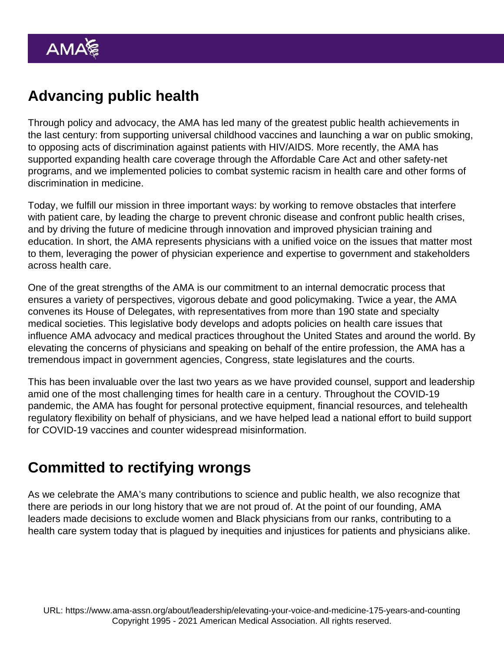## Advancing public health

Through policy and advocacy, the AMA has led many of the greatest public health achievements in the last century: from supporting universal childhood vaccines and launching a war on public smoking, to opposing acts of discrimination against patients with HIV/AIDS. More recently, the AMA has supported expanding health care coverage through the Affordable Care Act and other safety-net programs, and we implemented policies to combat systemic racism in health care and other forms of discrimination in medicine.

Today, we fulfill our mission in three important ways: by working to remove obstacles that interfere with patient care, by leading the charge to prevent chronic disease and confront public health crises, and by driving the future of medicine through innovation and improved physician training and education. In short, the AMA represents physicians with a unified voice on the issues that matter most to them, leveraging the power of physician experience and expertise to government and stakeholders across health care.

One of the great strengths of the AMA is our commitment to an internal democratic process that ensures a variety of perspectives, vigorous debate and good policymaking. Twice a year, the AMA convenes its [House of Delegates](https://www.ama-assn.org/house-delegates), with representatives from more than 190 state and specialty medical societies. This legislative body develops and adopts policies on health care issues that influence AMA advocacy and medical practices throughout the United States and around the world. By elevating the concerns of physicians and speaking on behalf of the entire profession, the AMA has a tremendous impact in government agencies, Congress, state legislatures and the courts.

This has been invaluable over the last two years as we have provided counsel, support and leadership amid one of the most challenging times for health care in a century. Throughout the [COVID-19](https://www.ama-assn.org/delivering-care/public-health/covid-19-2019-novel-coronavirus-resource-center-physicians) [pandemic](https://www.ama-assn.org/delivering-care/public-health/covid-19-2019-novel-coronavirus-resource-center-physicians), the AMA has fought for personal protective equipment, financial resources, and telehealth regulatory flexibility on behalf of physicians, and we have helped lead a national effort to build support for COVID-19 vaccines and counter widespread misinformation.

## Committed to rectifying wrongs

As we celebrate the AMA's many contributions to science and public health, we also recognize that there are periods in our long history that we are not proud of. At the point of our founding, [AMA](https://www.ama-assn.org/about/leadership/reckoning-medicine-s-history-racism) [leaders made decisions](https://www.ama-assn.org/about/leadership/reckoning-medicine-s-history-racism) to exclude women and Black physicians from our ranks, contributing to a health care system today that is plagued by inequities and injustices for patients and physicians alike.